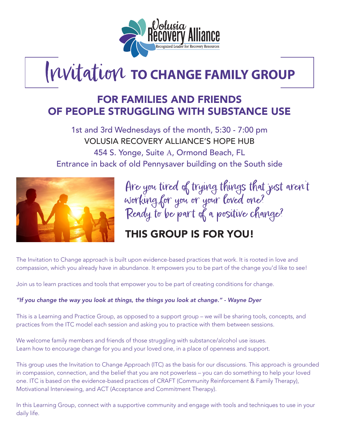

# Invitation **TO CHANGE FAMILY GROUP**

## FOR FAMILIES AND FRIENDS OF PEOPLE STRUGGLING WITH SUBSTANCE USE

1st and 3rd Wednesdays of the month, 5:30 - 7:00 pm VOLUSIA RECOVERY ALLIANCE'S HOPE HUB 454 S. Yonge, Suite A, Ormond Beach, FL Entrance in back of old Pennysaver building on the South side



Are you tired of trying things that just aren't working for you or your loved one? Ready to be part of a positive change?

# THIS GROUP IS FOR YOU!

The Invitation to Change approach is built upon evidence-based practices that work. It is rooted in love and compassion, which you already have in abundance. It empowers you to be part of the change you'd like to see!

Join us to learn practices and tools that empower you to be part of creating conditions for change.

#### *"If you change the way you look at things, the things you look at change." - Wayne Dyer*

This is a Learning and Practice Group, as opposed to a support group – we will be sharing tools, concepts, and practices from the ITC model each session and asking you to practice with them between sessions.

We welcome family members and friends of those struggling with substance/alcohol use issues. Learn how to encourage change for you and your loved one, in a place of openness and support.

This group uses the Invitation to Change Approach (ITC) as the basis for our discussions. This approach is grounded in compassion, connection, and the belief that you are not powerless – you can do something to help your loved one. ITC is based on the evidence-based practices of CRAFT (Community Reinforcement & Family Therapy), Motivational Interviewing, and ACT (Acceptance and Commitment Therapy).

In this Learning Group, connect with a supportive community and engage with tools and techniques to use in your daily life.